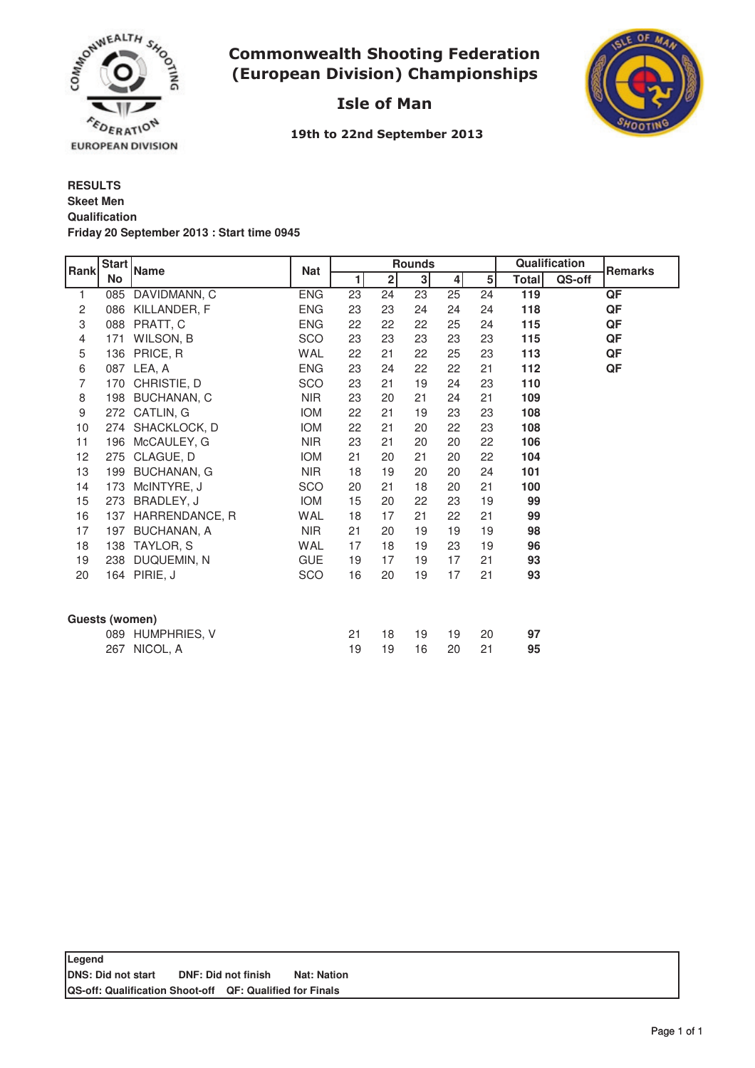

## **Commonwealth Shooting Federation** (European Division) Championships



# Isle of Man

19th to 22nd September 2013

## **RESULTS Qualification Friday 20 September 2013 : Start time 0945 Skeet Men**

| Rank           | <b>Start</b> | <b>Name</b>        | <b>Nat</b> | <b>Rounds</b> |                |    |                |    | Qualification |        | <b>Remarks</b> |
|----------------|--------------|--------------------|------------|---------------|----------------|----|----------------|----|---------------|--------|----------------|
|                | No           |                    |            | 1             | $\overline{2}$ | 3  | 4 <sup>1</sup> | 5  | <b>Total</b>  | QS-off |                |
| 1              | 085          | DAVIDMANN, C       | <b>ENG</b> | 23            | 24             | 23 | 25             | 24 | 119           |        | QF             |
| 2              | 086          | KILLANDER, F       | <b>ENG</b> | 23            | 23             | 24 | 24             | 24 | 118           |        | QF             |
| 3              | 088          | PRATT, C           | <b>ENG</b> | 22            | 22             | 22 | 25             | 24 | 115           |        | QF             |
| 4              | 171          | WILSON, B          | SCO        | 23            | 23             | 23 | 23             | 23 | 115           |        | QF             |
| 5              | 136          | PRICE, R           | WAL        | 22            | 21             | 22 | 25             | 23 | 113           |        | QF             |
| 6              | 087          | LEA, A             | <b>ENG</b> | 23            | 24             | 22 | 22             | 21 | 112           |        | QF             |
| 7              | 170          | CHRISTIE, D        | SCO        | 23            | 21             | 19 | 24             | 23 | 110           |        |                |
| 8              | 198          | BUCHANAN, C        | <b>NIR</b> | 23            | 20             | 21 | 24             | 21 | 109           |        |                |
| 9              | 272          | CATLIN, G          | <b>IOM</b> | 22            | 21             | 19 | 23             | 23 | 108           |        |                |
| 10             | 274          | SHACKLOCK, D       | <b>IOM</b> | 22            | 21             | 20 | 22             | 23 | 108           |        |                |
| 11             | 196          | McCAULEY, G        | <b>NIR</b> | 23            | 21             | 20 | 20             | 22 | 106           |        |                |
| 12             | 275          | CLAGUE, D          | <b>IOM</b> | 21            | 20             | 21 | 20             | 22 | 104           |        |                |
| 13             | 199          | <b>BUCHANAN, G</b> | <b>NIR</b> | 18            | 19             | 20 | 20             | 24 | 101           |        |                |
| 14             | 173          | McINTYRE, J        | SCO        | 20            | 21             | 18 | 20             | 21 | 100           |        |                |
| 15             | 273          | BRADLEY, J         | <b>IOM</b> | 15            | 20             | 22 | 23             | 19 | 99            |        |                |
| 16             | 137          | HARRENDANCE, R     | <b>WAL</b> | 18            | 17             | 21 | 22             | 21 | 99            |        |                |
| 17             | 197          | <b>BUCHANAN, A</b> | <b>NIR</b> | 21            | 20             | 19 | 19             | 19 | 98            |        |                |
| 18             | 138          | TAYLOR, S          | <b>WAL</b> | 17            | 18             | 19 | 23             | 19 | 96            |        |                |
| 19             | 238          | DUQUEMIN, N        | <b>GUE</b> | 19            | 17             | 19 | 17             | 21 | 93            |        |                |
| 20             | 164          | PIRIE, J           | SCO        | 16            | 20             | 19 | 17             | 21 | 93            |        |                |
|                |              |                    |            |               |                |    |                |    |               |        |                |
| Guests (women) |              |                    |            |               |                |    |                |    |               |        |                |
|                |              | 089 HUMPHRIES, V   |            | 21            | 18             | 19 | 19             | 20 | 97            |        |                |
|                | 267          | NICOL, A           |            | 19            | 19             | 16 | 20             | 21 | 95            |        |                |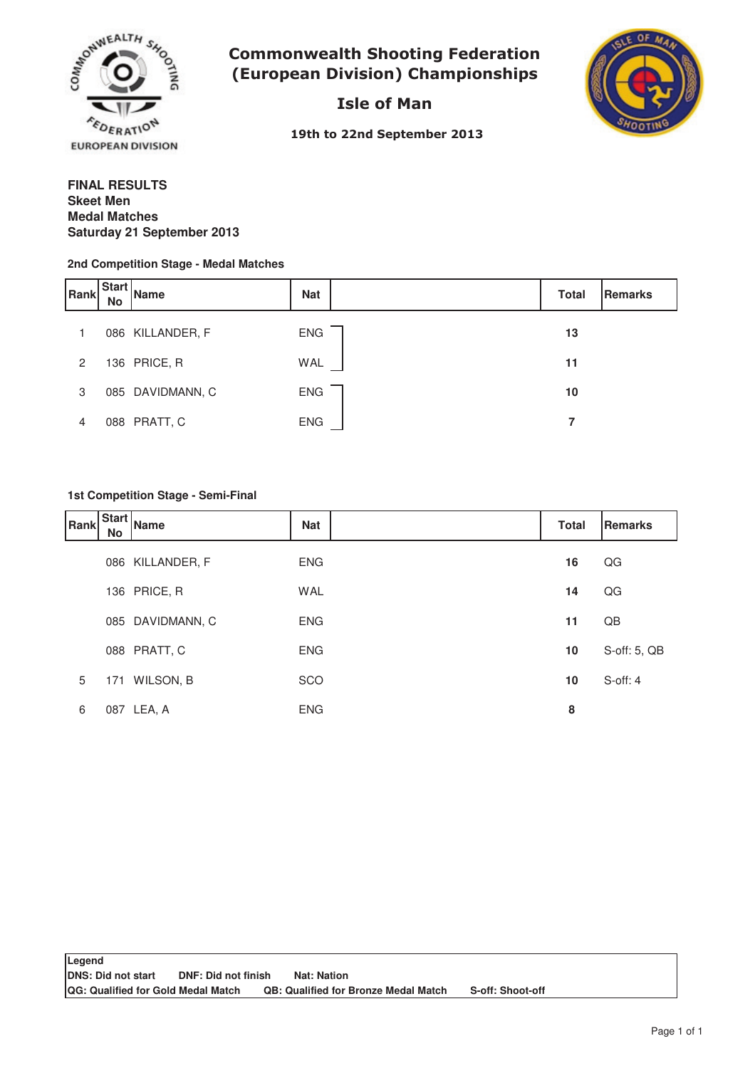

**Commonwealth Shooting Federation** (European Division) Championships

Isle of Man



19th to 22nd September 2013

## **FINAL RESULTS Medal Matches Saturday 21 September 2013 Skeet Men**

#### **2nd Competition Stage - Medal Matches**

| Rank           | Start<br><b>No</b> | <b>Name</b>      | <b>Nat</b> | <b>Total</b> | Remarks |
|----------------|--------------------|------------------|------------|--------------|---------|
|                |                    | 086 KILLANDER, F | <b>ENG</b> | 13           |         |
| $\overline{2}$ |                    | 136 PRICE, R     | WAL        | 11           |         |
| 3              |                    | 085 DAVIDMANN, C | <b>ENG</b> | 10           |         |
| 4              |                    | 088 PRATT, C     | <b>ENG</b> |              |         |

#### **1st Competition Stage - Semi-Final**

| Rank | <b>Start</b><br>No | Name             | <b>Nat</b> | <b>Total</b> | Remarks       |
|------|--------------------|------------------|------------|--------------|---------------|
|      |                    | 086 KILLANDER, F | <b>ENG</b> | 16           | QG            |
|      |                    | 136 PRICE, R     | <b>WAL</b> | 14           | QG            |
|      |                    | 085 DAVIDMANN, C | <b>ENG</b> | 11           | QB            |
|      |                    | 088 PRATT, C     | <b>ENG</b> | 10           | S-off: 5, QB  |
| 5    |                    | 171 WILSON, B    | SCO        | 10           | $S$ -off: $4$ |
| 6    |                    | 087 LEA, A       | <b>ENG</b> | 8            |               |